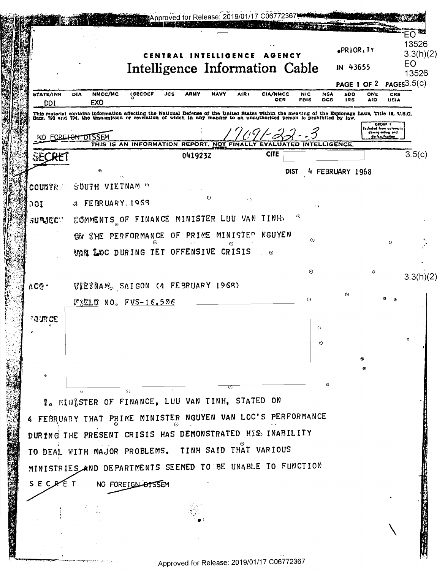|                         | CENTRAL INTELLIGENCE<br>Intelligence Information Cable                                                                                                                                                                                                                                                                               | <b>AGENCY</b>          |                                         | $ePRIOR_I IY$<br>IN 43655<br>PAGE 1 OF 2 | 3.3(h)(2)<br>EO<br>13526<br>PAGES3.5(c)                     |
|-------------------------|--------------------------------------------------------------------------------------------------------------------------------------------------------------------------------------------------------------------------------------------------------------------------------------------------------------------------------------|------------------------|-----------------------------------------|------------------------------------------|-------------------------------------------------------------|
| <b>STATE/INR</b><br>DDI | NMCC/MC<br><b>(SECDEF</b><br>ARMY<br><b>NAVY</b><br><b>DIA</b><br>JCS<br>AIR)<br>EX <sub>0</sub>                                                                                                                                                                                                                                     | <b>CIA/NMCC</b><br>OER | <b>NIC</b><br><b>NSA</b><br>FBIS<br>DCS | <b>SDO</b><br>ONE<br><b>IRS</b><br>AID   | CRS<br><b>USIA</b>                                          |
|                         | This material contains information affecting the National Defense of the United States within the meaning of the Espionage Laws, Title 18, U.S.O.<br>Gecs. 793 and 794, the transmisson or revelation of which in any manner to a                                                                                                    |                        |                                         |                                          | <b>OROUP 1</b>                                              |
|                         | NO FORE <del>IGN DISSEM</del>                                                                                                                                                                                                                                                                                                        |                        |                                         |                                          | eduded from automati<br>downgrading and<br>derla ulfication |
| SECRE                   | THIS IS AN INFORMATION REPORT, NOT FINA<br>041923Z                                                                                                                                                                                                                                                                                   | EVALUA<br><b>CITE</b>  | <b>INTELLIGENCE</b><br>red              |                                          | 3.5(c)                                                      |
|                         | Θ                                                                                                                                                                                                                                                                                                                                    |                        | <b>DIST</b>                             | FEBRUARY 1968                            |                                                             |
| <b>COUNTRY</b>          | <b>SOUTH VIETNAM OF</b>                                                                                                                                                                                                                                                                                                              |                        |                                         |                                          |                                                             |
| 001                     | $\circ$<br>$\left\langle \cdot \right\rangle$<br>$a$ FEBRUARY 1963                                                                                                                                                                                                                                                                   |                        | $\ell$ 1                                |                                          |                                                             |
| SURJECT.                | COMMENTS OF FINANCE MINISTER LUU VAN                                                                                                                                                                                                                                                                                                 | <b>TINH</b>            | ⊙                                       |                                          |                                                             |
|                         | MINISTER<br>SHE PERFORMANCE OF PRIME<br><b>EN</b>                                                                                                                                                                                                                                                                                    | <b>NGUYEN</b>          | $\odot$                                 |                                          | $\Omega$                                                    |
|                         | Θ<br>WAR LOC DURING TET OFFENSIVE CRISIS                                                                                                                                                                                                                                                                                             | $\odot$                |                                         |                                          |                                                             |
|                         |                                                                                                                                                                                                                                                                                                                                      |                        | $\odot$                                 | O                                        | 3.3(h)(2)                                                   |
| ACQ                     | $\mathcal{V}_2$ $\mathbb{R}$ $\mathbb{R}$ $\mathbb{R}$ $\mathbb{R}$ $\mathbb{R}$ $\mathbb{R}$ $\mathbb{R}$ $\mathbb{R}$ $\mathbb{R}$ $\mathbb{R}$ $\mathbb{R}$ $\mathbb{R}$ $\mathbb{R}$ $\mathbb{R}$ $\mathbb{R}$ $\mathbb{R}$ $\mathbb{R}$ $\mathbb{R}$ $\mathbb{R}$ $\mathbb{R}$ $\mathbb{R}$ $\mathbb{R}$ $\mathbb{R}$ $\mathbb$ |                        |                                         |                                          |                                                             |
|                         | FELD NO. FVS-16.506                                                                                                                                                                                                                                                                                                                  |                        | $\odot$                                 | $^{\circ}$                               |                                                             |
| our ce                  |                                                                                                                                                                                                                                                                                                                                      |                        | $\circ$                                 |                                          |                                                             |
|                         |                                                                                                                                                                                                                                                                                                                                      |                        | $\circ$                                 |                                          |                                                             |
|                         |                                                                                                                                                                                                                                                                                                                                      |                        |                                         |                                          |                                                             |
|                         |                                                                                                                                                                                                                                                                                                                                      |                        |                                         |                                          |                                                             |
|                         | ♡<br>O<br>$\triangle$                                                                                                                                                                                                                                                                                                                |                        |                                         |                                          |                                                             |
|                         | <b>I. MINISTER OF FINANCE, LUU VAN TINH, STATED ON</b>                                                                                                                                                                                                                                                                               |                        |                                         |                                          |                                                             |
|                         | 4 FEBRUARY THAT PRIME MINISTER NGUYEN VAN LOC'S PERFORMANCE                                                                                                                                                                                                                                                                          |                        |                                         |                                          |                                                             |
|                         | DURING THE PRESENT CRISIS HAS DEMONSTRATED HIS INABILITY                                                                                                                                                                                                                                                                             |                        |                                         |                                          |                                                             |
|                         | TO DEAL WITH MAJOR PROBLEMS. TINH SAID THAT VARIOUS                                                                                                                                                                                                                                                                                  |                        |                                         |                                          |                                                             |
|                         | MINISTRIES AND DEPARTMENTS SEEMED TO BE UNABLE TO FUNCTION                                                                                                                                                                                                                                                                           |                        |                                         |                                          |                                                             |
| SECRET                  | NO FOREIGN <del>DI</del> SSEM                                                                                                                                                                                                                                                                                                        |                        |                                         |                                          |                                                             |
|                         |                                                                                                                                                                                                                                                                                                                                      |                        |                                         |                                          |                                                             |
|                         |                                                                                                                                                                                                                                                                                                                                      |                        |                                         |                                          |                                                             |